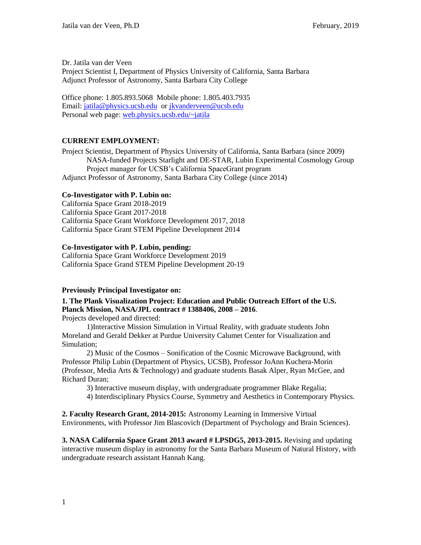Dr. Jatila van der Veen Project Scientist I, Department of Physics University of California, Santa Barbara Adjunct Professor of Astronomy, Santa Barbara City College

Office phone: 1.805.893.5068 Mobile phone: 1.805.403.7935 Email: [jatila@physics.ucsb.edu](mailto:jatila@physics.ucsb.edu) or [jkvanderveen@ucsb.edu](mailto:jkvanderveen@ucsb.edu) Personal web page: [web.physics.ucsb.edu/~jatila](http://www.physics.ucsb.edu/~jatila)

## **CURRENT EMPLOYMENT:**

Project Scientist, Department of Physics University of California, Santa Barbara (since 2009) NASA-funded Projects Starlight and DE-STAR, Lubin Experimental Cosmology Group Project manager for UCSB's California SpaceGrant program Adjunct Professor of Astronomy, Santa Barbara City College (since 2014)

## **Co-Investigator with P. Lubin on:**

California Space Grant 2018-2019 California Space Grant 2017-2018 California Space Grant Workforce Development 2017, 2018 California Space Grant STEM Pipeline Development 2014

### **Co-Investigator with P. Lubin, pending:**

California Space Grant Workforce Development 2019 California Space Grand STEM Pipeline Development 20-19

### **Previously Principal Investigator on:**

**1. The Plank Visualization Project: Education and Public Outreach Effort of the U.S. Planck Mission, NASA/JPL contract # 1388406, 2008 – 2016**.

Projects developed and directed:

1)Interactive Mission Simulation in Virtual Reality, with graduate students John Moreland and Gerald Dekker at Purdue University Calumet Center for Visualization and Simulation;

2) Music of the Cosmos – Sonification of the Cosmic Microwave Background, with Professor Philip Lubin (Department of Physics, UCSB), Professor JoAnn Kuchera-Morin (Professor, Media Arts & Technology) and graduate students Basak Alper, Ryan McGee, and Richard Duran;

3) Interactive museum display, with undergraduate programmer Blake Regalia;

4) Interdisciplinary Physics Course, Symmetry and Aesthetics in Contemporary Physics.

**2. Faculty Research Grant, 2014-2015:** Astronomy Learning in Immersive Virtual Environments, with Professor Jim Blascovich (Department of Psychology and Brain Sciences).

**3. NASA California Space Grant 2013 award # LPSDG5, 2013-2015.** Revising and updating interactive museum display in astronomy for the Santa Barbara Museum of Natural History, with undergraduate research assistant Hannah Kang.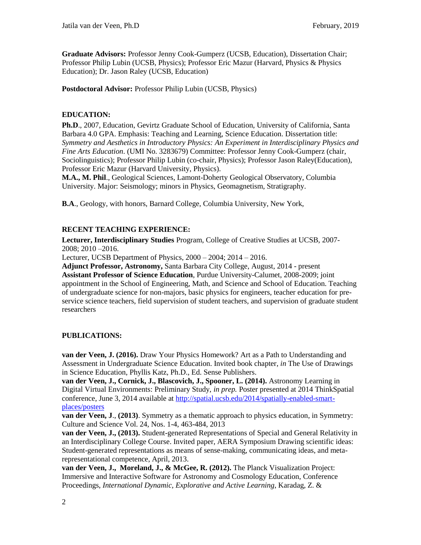**Graduate Advisors:** Professor Jenny Cook-Gumperz (UCSB, Education), Dissertation Chair; Professor Philip Lubin (UCSB, Physics); Professor Eric Mazur (Harvard, Physics & Physics Education); Dr. Jason Raley (UCSB, Education)

**Postdoctoral Advisor:** Professor Philip Lubin (UCSB, Physics)

### **EDUCATION:**

**Ph.D**., 2007, Education, Gevirtz Graduate School of Education, University of California, Santa Barbara 4.0 GPA. Emphasis: Teaching and Learning, Science Education. Dissertation title: *Symmetry and Aesthetics in Introductory Physics: An Experiment in Interdisciplinary Physics and Fine Arts Education*. (UMI No. 3283679) Committee: Professor Jenny Cook-Gumperz (chair, Sociolinguistics); Professor Philip Lubin (co-chair, Physics); Professor Jason Raley(Education), Professor Eric Mazur (Harvard University, Physics).

**M.A., M. Phil**., Geological Sciences, Lamont-Doherty Geological Observatory, Columbia University. Major: Seismology; minors in Physics, Geomagnetism, Stratigraphy.

**B.A**., Geology, with honors, Barnard College, Columbia University, New York,

## **RECENT TEACHING EXPERIENCE:**

**Lecturer, Interdisciplinary Studies** Program, College of Creative Studies at UCSB, 2007- 2008; 2010 –2016.

Lecturer, UCSB Department of Physics, 2000 – 2004; 2014 – 2016.

**Adjunct Professor, Astronomy,** Santa Barbara City College, August, 2014 - present **Assistant Professor of Science Education**, Purdue University-Calumet, 2008-2009; joint appointment in the School of Engineering, Math, and Science and School of Education. Teaching of undergraduate science for non-majors, basic physics for engineers, teacher education for preservice science teachers, field supervision of student teachers, and supervision of graduate student researchers

### **PUBLICATIONS:**

**van der Veen, J. (2016).** Draw Your Physics Homework? Art as a Path to Understanding and Assessment in Undergraduate Science Education. Invited book chapter, *in* The Use of Drawings in Science Education, Phyllis Katz, Ph.D., Ed. Sense Publishers.

**van der Veen, J., Cornick, J., Blascovich, J., Spooner, L. (2014).** Astronomy Learning in Digital Virtual Environments: Preliminary Study, *in prep.* Poster presented at 2014 ThinkSpatial conference, June 3, 2014 available at [http://spatial.ucsb.edu/2014/spatially-enabled-smart](http://spatial.ucsb.edu/2014/spatially-enabled-smart-places/posters)[places/posters](http://spatial.ucsb.edu/2014/spatially-enabled-smart-places/posters)

**van der Veen, J**., **(2013)**. Symmetry as a thematic approach to physics education, in Symmetry: Culture and Science Vol. 24, Nos. 1-4, 463-484, 2013

**van der Veen, J., (2013).** Student-generated Representations of Special and General Relativity in an Interdisciplinary College Course. Invited paper, AERA Symposium Drawing scientific ideas: Student-generated representations as means of sense-making, communicating ideas, and metarepresentational competence, April, 2013.

**van der Veen, J., Moreland, J., & McGee, R. (2012).** The Planck Visualization Project: Immersive and Interactive Software for Astronomy and Cosmology Education, Conference Proceedings, *International Dynamic, Explorative and Active Learning*, Karadag, Z. &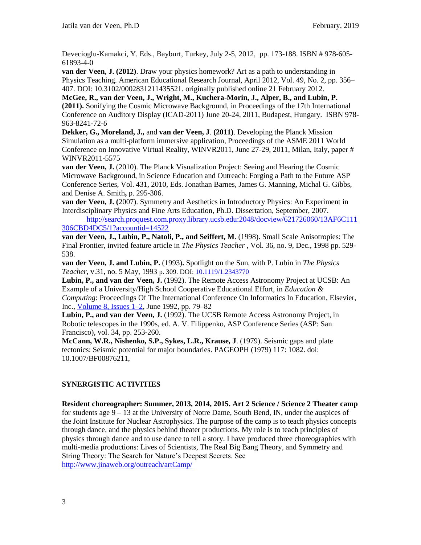Devecioglu-Kamakci, Y. Eds., Bayburt, Turkey, July 2-5, 2012, pp. 173-188. ISBN # 978-605- 61893-4-0

**van der Veen, J. (2012)**. Draw your physics homework? Art as a path to understanding in Physics Teaching. American Educational Research Journal, April 2012, Vol. 49, No. 2, pp. 356– 407. DOI: 10.3102/0002831211435521. originally published online 21 February 2012.

**McGee, R., van der Veen, J., Wright, M., Kuchera-Morin, J., Alper, B., and Lubin, P. (2011).** Sonifying the Cosmic Microwave Background, in Proceedings of the 17th International Conference on Auditory Display (ICAD-2011) June 20-24, 2011, Budapest, Hungary. ISBN 978- 963-8241-72-*6*

**Dekker, G., Moreland, J.,** and **van der Veen, J**. **(2011)**. Developing the Planck Mission Simulation as a multi-platform immersive application, Proceedings of the ASME 2011 World Conference on Innovative Virtual Reality, WINVR2011, June 27-29, 2011, Milan, Italy, paper # WINVR2011-5575

**van der Veen, J.** (2010). The Planck Visualization Project: Seeing and Hearing the Cosmic Microwave Background, in Science Education and Outreach: Forging a Path to the Future ASP Conference Series, Vol. 431, 2010, Eds. Jonathan Barnes, James G. Manning, Michal G. Gibbs, and Denise A. Smith**,** p. 295-306.

**van der Veen, J. (**2007). Symmetry and Aesthetics in Introductory Physics: An Experiment in Interdisciplinary Physics and Fine Arts Education, Ph.D. Dissertation, September, 2007.

[http://search.proquest.com.proxy.library.ucsb.edu:2048/docview/621726060/13AF6C111](http://search.proquest.com.proxy.library.ucsb.edu:2048/docview/621726060/13AF6C111306CBD4DC5/1?accountid=14522) [306CBD4DC5/1?accountid=14522](http://search.proquest.com.proxy.library.ucsb.edu:2048/docview/621726060/13AF6C111306CBD4DC5/1?accountid=14522)

**van der Veen, J., Lubin, P., Natoli, P., and Seiffert, M**. (1998). Small Scale Anisotropies: The Final Frontier, invited feature article in *The Physics Teacher* , Vol. 36, no. 9, Dec., 1998 pp. 529- 538.

**van der Veen, J. and Lubin, P.** (1993)**.** Spotlight on the Sun, with P. Lubin in *The Physics Teacher*, v.31, no. 5 May, 1993 p. 309. DOI[: 10.1119/1.2343770](http://dx.doi.org/10.1119%2f1.2343770)

**Lubin, P., and van der Veen, J.** (1992). The Remote Access Astronomy Project at UCSB: An Example of a University/High School Cooperative Educational Effort, in *Education & Computing*: Proceedings Of The International Conference On Informatics In Education, Elsevier, Inc., [Volume 8, Issues 1–2,](http://www.sciencedirect.com.proxy.library.ucsb.edu:2048/science/journal/01679287/8/1) June 1992, pp. 79–82

**Lubin, P., and van der Veen, J.** (1992). The UCSB Remote Access Astronomy Project, in Robotic telescopes in the 1990s, ed. A. V. Filippenko, ASP Conference Series (ASP: San Francisco), vol. 34, pp. 253-260.

**McCann, W.R., Nishenko, S.P., Sykes, L.R., Krause, J**. (1979). Seismic gaps and plate tectonics: Seismic potential for major boundaries. PAGEOPH (1979) 117: 1082. doi: 10.1007/BF00876211,

# **SYNERGISTIC ACTIVITIES**

**Resident choreographer: Summer, 2013, 2014, 2015. Art 2 Science / Science 2 Theater camp** for students age 9 – 13 at the University of Notre Dame, South Bend, IN, under the auspices of the Joint Institute for Nuclear Astrophysics. The purpose of the camp is to teach physics concepts through dance, and the physics behind theater productions. My role is to teach principles of physics through dance and to use dance to tell a story. I have produced three choreographies with multi-media productions: Lives of Scientists, The Real Big Bang Theory, and Symmetry and String Theory: The Search for Nature's Deepest Secrets. See <http://www.jinaweb.org/outreach/artCamp/>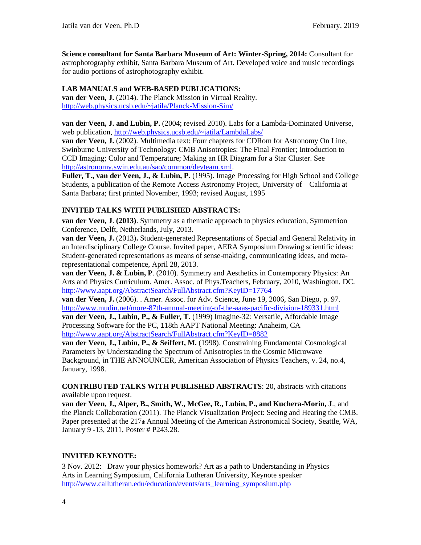**Science consultant for Santa Barbara Museum of Art: Winter-Spring, 2014:** Consultant for astrophotography exhibit, Santa Barbara Museum of Art. Developed voice and music recordings for audio portions of astrophotography exhibit.

## **LAB MANUALS and WEB-BASED PUBLICATIONS:**

**van der Veen, J.** (2014). The Planck Mission in Virtual Reality. <http://web.physics.ucsb.edu/~jatila/Planck-Mission-Sim/>

**van der Veen, J. and Lubin, P.** (2004; revised 2010). Labs for a Lambda-Dominated Universe, web publication,<http://web.physics.ucsb.edu/~jatila/LambdaLabs/>

**van der Veen, J.** (2002). Multimedia text: Four chapters for CDRom for Astronomy On Line, Swinburne University of Technology: CMB Anisotropies: The Final Frontier; Introduction to CCD Imaging; Color and Temperature; Making an HR Diagram for a Star Cluster. See [http://astronomy.swin.edu.au/sao/common/devteam.xml.](http://astronomy.swin.edu.au/sao/common/devteam.xml)

**Fuller, T., van der Veen, J., & Lubin, P**. (1995). Image Processing for High School and College Students, a publication of the Remote Access Astronomy Project, University of California at Santa Barbara; first printed November, 1993; revised August, 1995

## **INVITED TALKS WITH PUBLISHED ABSTRACTS:**

**van der Veen, J**. **(2013)**. Symmetry as a thematic approach to physics education, Symmetrion Conference, Delft, Netherlands, July, 2013.

**van der Veen, J.** (2013). Student-generated Representations of Special and General Relativity in an Interdisciplinary College Course. Invited paper, AERA Symposium Drawing scientific ideas: Student-generated representations as means of sense-making, communicating ideas, and metarepresentational competence, April 28, 2013.

**van der Veen, J. & Lubin, P**. (2010). Symmetry and Aesthetics in Contemporary Physics: An Arts and Physics Curriculum. Amer. Assoc. of Phys.Teachers, February, 2010, Washington, DC. <http://www.aapt.org/AbstractSearch/FullAbstract.cfm?KeyID=17764>

**van der Veen, J.** (2006). . Amer. Assoc. for Adv. Science, June 19, 2006, San Diego, p. 97. <http://www.mudin.net/more-87th-annual-meeting-of-the-aaas-pacific-division-189331.html> **van der Veen, J., Lubin, P., & Fuller, T**. (1999) Imagine-32: Versatile, Affordable Image Processing Software for the PC, 118th AAPT National Meeting: Anaheim, CA <http://www.aapt.org/AbstractSearch/FullAbstract.cfm?KeyID=8882>

**van der Veen, J., Lubin, P., & Seiffert, M.** (1998). Constraining Fundamental Cosmological Parameters by Understanding the Spectrum of Anisotropies in the Cosmic Microwave Background*,* in THE ANNOUNCER, American Association of Physics Teachers, v. 24, no.4, January, 1998.

**CONTRIBUTED TALKS WITH PUBLISHED ABSTRACTS**: 20, abstracts with citations available upon request.

**van der Veen, J., Alper, B., Smith, W., McGee, R., Lubin, P., and Kuchera-Morin, J**., and the Planck Collaboration (2011). The Planck Visualization Project: Seeing and Hearing the CMB. Paper presented at the 217th Annual Meeting of the American Astronomical Society, Seattle, WA, January 9 -13, 2011, Poster # P243.28.

# **INVITED KEYNOTE:**

3 Nov. 2012: Draw your physics homework? Art as a path to Understanding in Physics Arts in Learning Symposium, California Lutheran University, Keynote speaker [http://www.callutheran.edu/education/events/arts\\_learning\\_symposium.php](http://www.callutheran.edu/education/events/arts_learning_symposium.php)